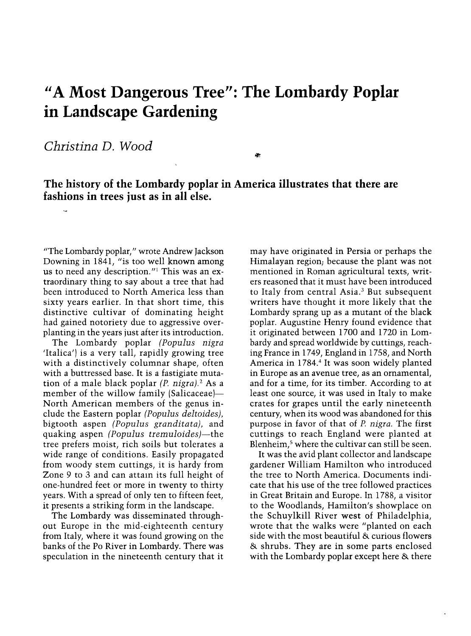## "A Most Dangerous Tree": The Lombardy Poplar in Landscape Gardening

Christina D. Wood <sup>~</sup>

The history of the Lombardy poplar in America illustrates that there are fashions in trees just as in all else.

"The Lombardy poplar," wrote Andrew Jackson Downing in 1841, "is too well known among us to need any description."' This was an extraordinary thing to say about a tree that had been introduced to North America less than sixty years earlier. In that short time, this distinctive cultivar of dominating height had gained notoriety due to aggressive overplanting in the years just after its introduction.

The Lombardy poplar (Populus nigra 'Italica') is a very tall, rapidly growing tree with a distinctively columnar shape, often with a buttressed base. It is a fastigiate mutation of a male black poplar  $(P. nigra)<sup>2</sup>$  As a member of the willow family (Salicaceae)-North American members of the genus include the Eastern poplar (Populus deltoides), bigtooth aspen (Populus granditata), and quaking aspen (Populus tremuloides)—the tree prefers moist, rich soils but tolerates a wide range of conditions. Easily propagated from woody stem cuttings, it is hardy from Zone 9 to 3 and can attam its full height of one-hundred feet or more in twenty to thirty years. With a spread of only ten to fifteen feet, it presents a striking form in the landscape.

The Lombardy was disseminated through out Europe in the mid-eighteenth century from Italy, where it was found growing on the banks of the Po River in Lombardy. There was speculation in the nineteenth century that it

may have originated in Persia or perhaps the Himalayan region; because the plant was not mentioned in Roman agricultural texts, writers reasoned that it must have been introduced to Italy from central Asia.3 But subsequent writers have thought it more likely that the Lombardy sprang up as a mutant of the black poplar. Augustine Henry found evidence that it originated between 1700 and 1720 in Lombardy and spread worldwide by cuttings, reaching France in 1749, England in 1758, and North America in 1784.<sup>4</sup> It was soon widely planted in Europe as an avenue tree, as an ornamental, and for a time, for its timber. According to at least one source, it was used in Italy to make crates for grapes until the early nineteenth century, when its wood was abandoned for this purpose in favor of that of P. nigra. The first cuttings to reach England were planted at Blenheim,<sup>5</sup> where the cultivar can still be seen.

It was the avid plant collector and landscape gardener William Hamilton who introduced the tree to North America. Documents indicate that his use of the tree followed practices in Great Britain and Europe. In 1788, a visitor to the Woodlands, Hamilton's showplace on the Schuylkill River west of Philadelphia, wrote that the walks were "planted on each side with the most beautiful & curious flowers & shrubs. They are in some parts enclosed with the Lombardy poplar except here & there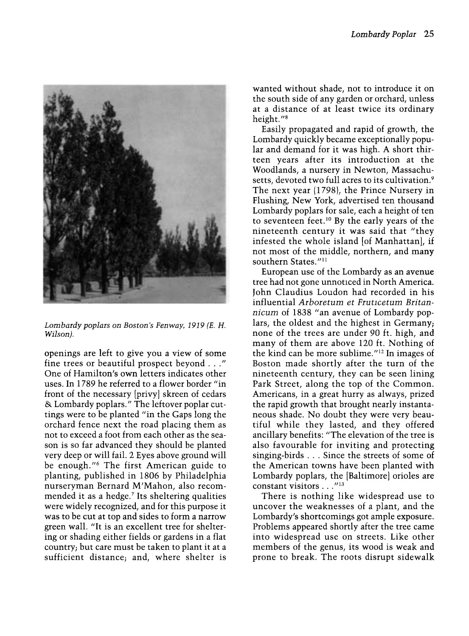

Lombardy poplars on Boston's Fenway, 1919 (E. H. Wilson).

openings are left to give you a view of some fine trees or beautiful prospect beyond ..." One of Hamilton's own letters indicates other uses. In 1789 he referred to a flower border "in front of the necessary [privy] skreen of cedars & Lombardy poplars." The leftover poplar cuttings were to be planted "in the Gaps long the orchard fence next the road placing them as not to exceed a foot from each other as the season is so far advanced they should be planted very deep or will fail. 2 Eyes above ground will be enough."<sup>6</sup> The first American guide to planting, published in 1806 by Philadelphia nurseryman Bernard M'Mahon, also recommended it as a hedge.' Its sheltering qualities were widely recognized, and for this purpose it was to be cut at top and sides to form a narrow green wall. "It is an excellent tree for sheltering or shading either fields or gardens in a flat country; but care must be taken to plant it at a sufficient distance; and, where shelter is

wanted without shade, not to introduce it on the south side of any garden or orchard, unless at a distance of at least twice its ordinary height."<sup>8</sup>

Easily propagated and rapid of growth, the Lombardy quickly became exceptionally popular and demand for it was high. A short thirteen years after its introduction at the Woodlands, a nursery in Newton, Massachusetts, devoted two full acres to its cultivation.<sup>9</sup> The next year (1798), the Prince Nursery in Flushing, New York, advertised ten thousand Lombardy poplars for sale, each a height of ten to seventeen feet.<sup>10</sup> By the early years of the nineteenth century it was said that "they infested the whole island [of Manhattan], if not most of the middle, northern, and many southern States."<sup>11</sup>

European use of the Lombardy as an avenue tree had not gone unnoticed in North America. John Claudius Loudon had recorded in his influential Arboretum et Fruticetum Britannicum of 1838 "an avenue of Lombardy poplars, the oldest and the highest in Germany; none of the trees are under 90 ft. high, and many of them are above 120 ft. Nothing of the kind can be more sublime."'2 In images of Boston made shortly after the turn of the nineteenth century, they can be seen lining Park Street, along the top of the Common. Americans, in a great hurry as always, prized the rapid growth that brought nearly instantaneous shade. No doubt they were very beautiful while they lasted, and they offered ancillary benefits: "The elevation of the tree is also favourable for inviting and protecting singing-birds ... Since the streets of some of the American towns have been planted with Lombardy poplars, the [Baltimore] orioles are constant visitors . . . "13

There is nothing like widespread use to uncover the weaknesses of a plant, and the Lombardy's shortcomings got ample exposure. Problems appeared shortly after the tree came into widespread use on streets. Like other members of the genus, its wood is weak and prone to break. The roots disrupt sidewalk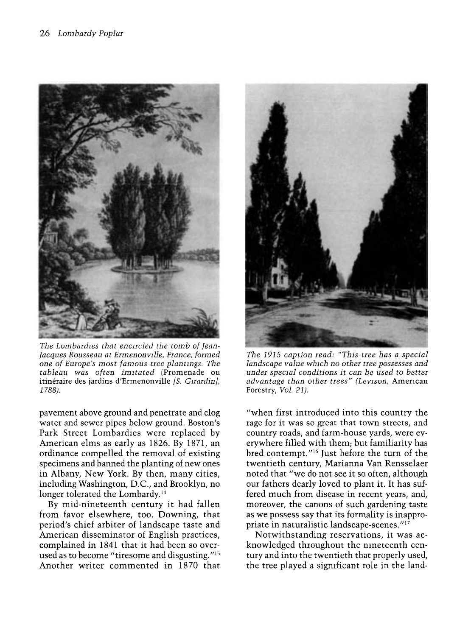

The Lombardies that encircled the tomb of Jean-<br>Jacques Rousseau at Ermenonville, France, formed one of Europe's most famous tree plantings. The tableau was often imitated (Promenade ou itinéraire des jardins d'Ermenonville [S. Girardin], 1788).

pavement above ground and penetrate and clog water and sewer pipes below ground. Boston's Park Street Lombardies were replaced by American elms as early as 1826. By 1871, an ordinance compelled the removal of existing specimens and banned the planting of new ones in Albany, New York. By then, many cities, including Washington, D.C., and Brooklyn, no longer tolerated the Lombardy.<sup>14</sup>

By mid-nineteenth century it had fallen from favor elsewhere, too. Downing, that period's chief arbiter of landscape taste and American disseminator of English practices, complained in 1841 that it had been so overused as to become "tiresome and disgusting."<sup>15</sup> Another writer commented in 1870 that



The 1915 caption read: "This tree has a special landscape value which no other tree possesses and under special conditions it can be used to better advantage than other trees" (Levison, American Forestry, Vol. 21).

"when first introduced into this country the rage for it was so great that town streets, and country roads, and farm-house yards, were everywhere filled with them; but familiarity has bred contempt."<sup>16</sup> Just before the turn of the twentieth century, Marianna Van Rensselaer noted that "we do not see it so often, although our fathers dearly loved to plant it. It has suffered much from disease in recent years, and, moreover, the canons of such gardening taste as we possess say that its formality is inappropriate in naturalistic landscape-scenes.""

Notwithstanding reservations, it was acknowledged throughout the nineteenth century and into the twentieth that properly used, the tree played a sigmficant role in the land-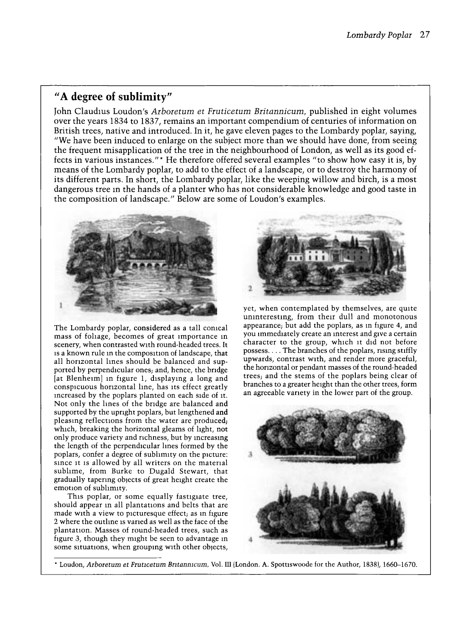## "A degree of sublimity"

John Claudius Loudon's Arboretum et Fruticetum Britannicum, published in eight volumes over the years 1834 to 1837, remains an important compendium of centuries of information on British trees, native and introduced. In it, he gave eleven pages to the Lombardy poplar, saying, "We have been induced to enlarge on the subject more than we should have done, from seeing the frequent misapplication of the tree in the neighbourhood of London, as well as its good effects in various instances."\* He therefore offered several examples "to show how easy it is, by means of the Lombardy poplar, to add to the effect of a landscape, or to destroy the harmony of its different parts. In short, the Lombardy poplar, like the weeping willow and birch, is a most dangerous tree in the hands of a planter who has not considerable knowledge and good taste in the composition of landscape." Below are some of Loudon's examples.



The Lombardy poplar, considered as a tall comcal mass of foliage, becomes of great importance in scenery, when contrasted with round-headed trees. It is a known rule m the composition of landscape, that all horizontal lines should be balanced and supported by perpendicular ones; and, hence, the bridge [at Blenheim] in figure 1, displaymg a long and conspicuous horizontal line, has its effect greatly mcreased by the poplars planted on each side of it. Not only the lines of the bridge are balanced and supported by the upright poplars, but lengthened and pleasmg reflections from the water are produced; which, breaking the horizontal gleams of light, not only produce variety and mchness, but by mcreasmg the length of the perpendicular lines formed by the poplars, confer a degree of sublimity on the picture: since it is allowed by all writers on the material sublime, from Burke to Dugald Stewart, that gradually tapering objects of great height create the emotion of sublimity.

This poplar, or some equally fastigiate tree, should appear in all plantations and belts that are made with a view to picturesque effect; as m figure 2 where the outline is vaned as well as the face of the plantation. Masses of round-headed trees, such as figure 3, though they might be seen to advantage m some situations, when groupmg with other objects,



yet, when contemplated by themselves, are quite uninteresting, from their dull and monotonous appearance; but add the poplars, as in figure 4, and you immediately create an interest and give a certain character to the group, which it did not before possess.... The branches of the poplars, rising stiffly upwards, contrast with, and render more graceful, the horizontal or pendant masses of the round-headed trees; and the stems of the poplars being clear of branches to a greater height than the other trees, form an agreeable variety in the lower part of the group.



\* Loudon, Arboretum et Fruticetum Britannicum, Vol. III (London. A. Spottiswoode for the Author, 1838), 1660-1670.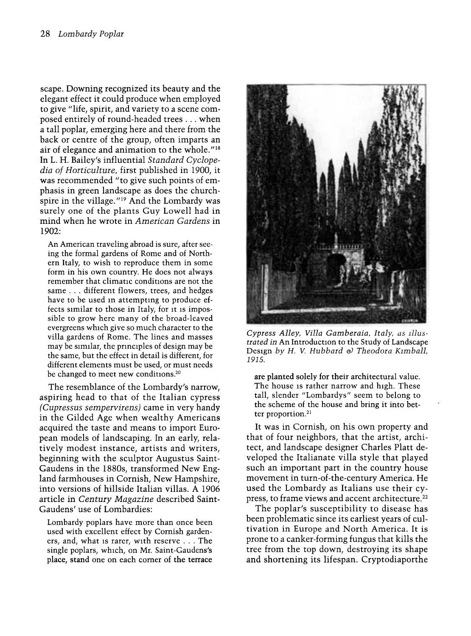scape. Downing recognized its beauty and the elegant effect it could produce when employed to give "life, spirit, and variety to a scene composed entirely of round-headed trees ... when a tall poplar, emerging here and there from the back or centre of the group, often imparts an air of elegance and animation to the whole."'8 In L. H. Bailey's influential Standard Cyclopedia of Horticulture, first published in 1900, it was recommended "to give such points of emphasis in green landscape as does the churchspire in the village."'9 And the Lombardy was surely one of the plants Guy Lowell had in mind when he wrote in American Gardens in 1902:

An American traveling abroad is sure, after seeing the formal gardens of Rome and of Northern Italy, to wish to reproduce them in some form in his own country. He does not always remember that climatic conditions are not the same ... different flowers, trees, and hedges have to be used in attempting to produce effects similar to those in Italy, for it is impossible to grow here many of the broad-leaved evergreens which give so much character to the villa gardens of Rome. The lines and masses may be similar, the principles of design may be the same, but the effect in detail is different, for different elements must be used, or must needs be changed to meet new conditions.<sup>20</sup>

The resemblance of the Lombardy's narrow, aspiring head to that of the Italian cypress (Cupressus sempervirens) came in very handy in the Gilded Age when wealthy Americans acquired the taste and means to import European models of landscaping. In an early, relatively modest instance, artists and writers, beginning with the sculptor Augustus Saint-Gaudens in the 1880s, transformed New England farmhouses in Cornish, New Hampshire, into versions of hillside Italian villas. A 1906 article in Century Magazine described Saint-Gaudens' use of Lombardies:

Lombardy poplars have more than once been used with excellent effect by Cornish garden ers, and, what is rarer, with reserve ... The single poplars, which, on Mr. Saint-Gaudens's place, stand one on each comer of the terrace



Cypress Alley, Villa Gamberaia, Italy, as illustrated in An Introduction to the Study of Landscape Design by H. V. Hubbard & Theodora Kimball, 1915.

are planted solely for their architectural value. The house is rather narrow and high. These tall, slender "Lombardys" seem to belong to the scheme of the house and bring it into better proportion.<sup>21</sup>

It was in Cornish, on his own property and that of four neighbors, that the artist, architect, and landscape designer Charles Platt developed the Italianate villa style that played such an important part in the country house movement in turn-of-the-century America. He used the Lombardy as Italians use their cypress, to frame views and accent architecture.<sup>22</sup>

The poplar's susceptibility to disease has been problematic since its earliest years of cultivation in Europe and North America. It is prone to a canker-forming fungus that kills the tree from the top down, destroying its shape and shortening its lifespan. Cryptodiaporthe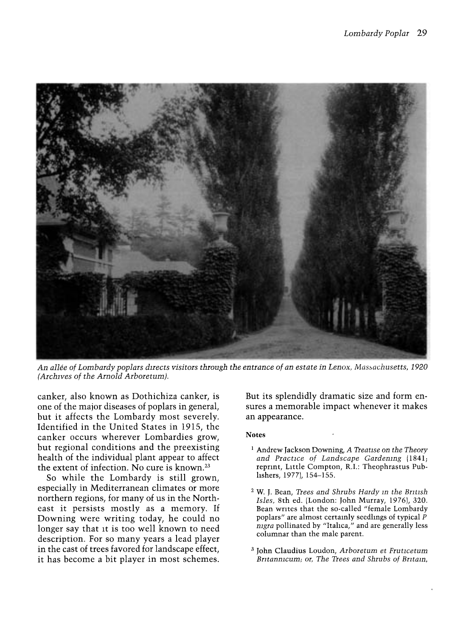

An allée of Lombardy poplars directs visitors through the entrance of an estate in Lenox, Massachusetts, 1920 (Archives of the Arnold Arboretum).

canker, also known as Dothichiza canker, is one of the major diseases of poplars in general, but it affects the Lombardy most severely. Identified in the United States in 1915, the canker occurs wherever Lombardies grow, but regional conditions and the preexisting health of the individual plant appear to affect the extent of infection. No cure is known.<sup>23</sup>

So while the Lombardy is still grown, especially in Mediterranean climates or more northern regions, for many of us in the Northeast it persists mostly as a memory. If Downing were writing today, he could no longer say that it is too well known to need description. For so many years a lead player in the cast of trees favored for landscape effect, it has become a bit player in most schemes.

But its splendidly dramatic size and form ensures a memorable impact whenever it makes an appearance.

## Notes

- <sup>1</sup> Andrew Jackson Downing, A Treatise on the Theory and Practice of Landscape Gardenmg /1841; repnnt, Little Compton, R.I.: Theophrastus Publishers, 1977), 154-155.
- <sup>2</sup> W. J. Bean, Trees and Shrubs Hardy in the British Isles, 8th ed. (London: John Murray, 1976), 320. Bean writes that the so-called "female Lombardy poplars" are almost certamly seedlings of typical P nigra pollinated by "Italica," and are generally less columnar than the male parent.
- 3 John Claudius Loudon, Arboretum et Fruticetum Britannicum; or, The Trees and Shrubs of Britain,